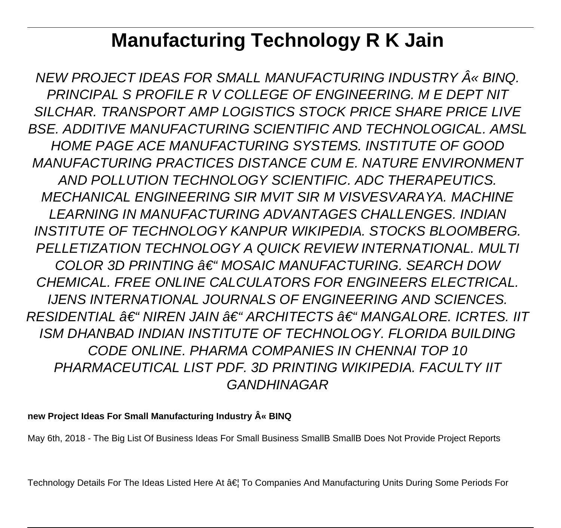# **Manufacturing Technology R K Jain**

NEW PROJECT IDEAS FOR SMALL MANUFACTURING INDUSTRY « BINQ. PRINCIPAL S PROFILE R V COLLEGE OF ENGINEERING. M E DEPT NIT SILCHAR. TRANSPORT AMP LOGISTICS STOCK PRICE SHARE PRICE LIVE BSE. ADDITIVE MANUFACTURING SCIENTIFIC AND TECHNOLOGICAL. AMSL HOME PAGE ACE MANUFACTURING SYSTEMS. INSTITUTE OF GOOD MANUFACTURING PRACTICES DISTANCE CUM E. NATURE ENVIRONMENT AND POLLUTION TECHNOLOGY SCIENTIFIC. ADC THERAPEUTICS. MECHANICAL ENGINEERING SIR MVIT SIR M VISVESVARAYA. MACHINE LEARNING IN MANUFACTURING ADVANTAGES CHALLENGES. INDIAN INSTITUTE OF TECHNOLOGY KANPUR WIKIPEDIA. STOCKS BLOOMBERG. PELLETIZATION TECHNOLOGY A QUICK REVIEW INTERNATIONAL. MULTI COLOR 3D PRINTING  $A\in$  "MOSAIC MANUFACTURING. SFARCH DOW CHEMICAL. FREE ONLINE CALCULATORS FOR ENGINEERS ELECTRICAL. IJENS INTERNATIONAL JOURNALS OF ENGINEERING AND SCIENCES. RESIDENTIAL  $\hat{\pi} \in$  " NIREN JAIN  $\hat{\pi} \in$  " ARCHITECTS  $\hat{\pi} \in$  " MANGALORE. ICRTES. IIT ISM DHANBAD INDIAN INSTITUTE OF TECHNOLOGY. FLORIDA BUILDING CODE ONLINE. PHARMA COMPANIES IN CHENNAI TOP 10 PHARMACEUTICAL LIST PDF. 3D PRINTING WIKIPEDIA. FACULTY IIT GANDHINAGAR

#### new Project Ideas For Small Manufacturing Industry  $\hat{A}$ « BINQ

May 6th, 2018 - The Big List Of Business Ideas For Small Business SmallB SmallB Does Not Provide Project Reports

Technology Details For The Ideas Listed Here At … To Companies And Manufacturing Units During Some Periods For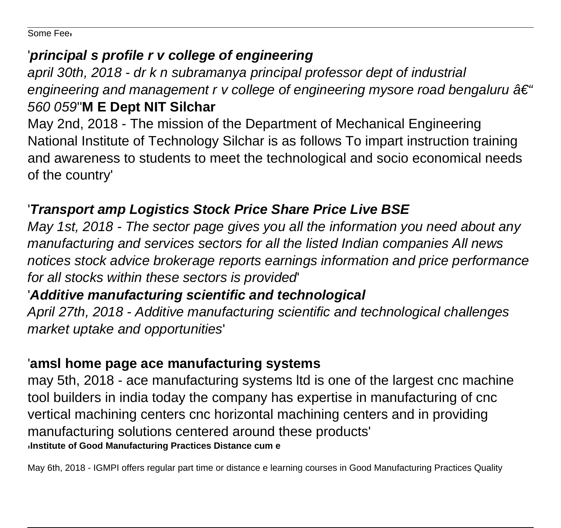Some Fee'

#### '**principal s profile r v college of engineering**

april 30th, 2018 - dr k n subramanya principal professor dept of industrial engineering and management r v college of engineering mysore road bengaluru  $\hat{a} \in \hat{a}$ 560 059''**M E Dept NIT Silchar**

May 2nd, 2018 - The mission of the Department of Mechanical Engineering National Institute of Technology Silchar is as follows To impart instruction training and awareness to students to meet the technological and socio economical needs of the country'

## '**Transport amp Logistics Stock Price Share Price Live BSE**

May 1st, 2018 - The sector page gives you all the information you need about any manufacturing and services sectors for all the listed Indian companies All news notices stock advice brokerage reports earnings information and price performance for all stocks within these sectors is provided'

## '**Additive manufacturing scientific and technological**

April 27th, 2018 - Additive manufacturing scientific and technological challenges market uptake and opportunities'

## '**amsl home page ace manufacturing systems**

may 5th, 2018 - ace manufacturing systems ltd is one of the largest cnc machine tool builders in india today the company has expertise in manufacturing of cnc vertical machining centers cnc horizontal machining centers and in providing manufacturing solutions centered around these products' '**Institute of Good Manufacturing Practices Distance cum e**

May 6th, 2018 - IGMPI offers regular part time or distance e learning courses in Good Manufacturing Practices Quality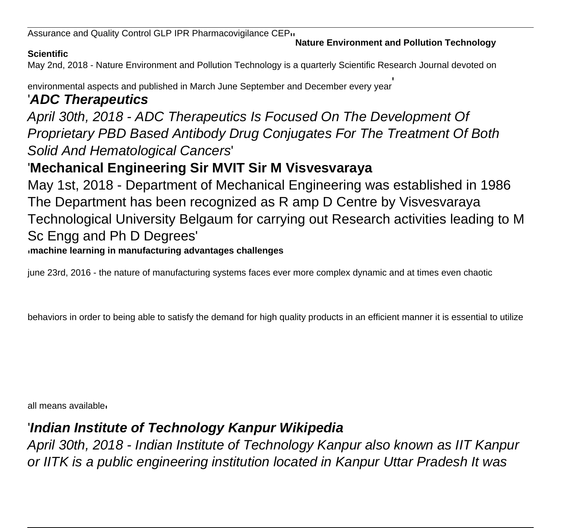Assurance and Quality Control GLP IPR Pharmacovigilance CEP''**Nature Environment and Pollution Technology**

#### **Scientific**

May 2nd, 2018 - Nature Environment and Pollution Technology is a quarterly Scientific Research Journal devoted on

environmental aspects and published in March June September and December every year'

#### '**ADC Therapeutics**

April 30th, 2018 - ADC Therapeutics Is Focused On The Development Of Proprietary PBD Based Antibody Drug Conjugates For The Treatment Of Both Solid And Hematological Cancers'

## '**Mechanical Engineering Sir MVIT Sir M Visvesvaraya**

May 1st, 2018 - Department of Mechanical Engineering was established in 1986 The Department has been recognized as R amp D Centre by Visvesvaraya Technological University Belgaum for carrying out Research activities leading to M Sc Engg and Ph D Degrees'

'**machine learning in manufacturing advantages challenges**

june 23rd, 2016 - the nature of manufacturing systems faces ever more complex dynamic and at times even chaotic

behaviors in order to being able to satisfy the demand for high quality products in an efficient manner it is essential to utilize

all means available'

#### '**Indian Institute of Technology Kanpur Wikipedia**

April 30th, 2018 - Indian Institute of Technology Kanpur also known as IIT Kanpur or IITK is a public engineering institution located in Kanpur Uttar Pradesh It was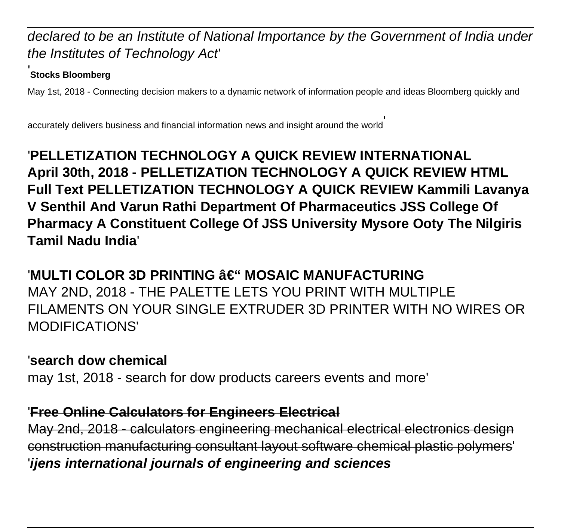#### declared to be an Institute of National Importance by the Government of India under the Institutes of Technology Act'

#### '**Stocks Bloomberg**

May 1st, 2018 - Connecting decision makers to a dynamic network of information people and ideas Bloomberg quickly and

accurately delivers business and financial information news and insight around the world'

## '**PELLETIZATION TECHNOLOGY A QUICK REVIEW INTERNATIONAL April 30th, 2018 - PELLETIZATION TECHNOLOGY A QUICK REVIEW HTML Full Text PELLETIZATION TECHNOLOGY A QUICK REVIEW Kammili Lavanya V Senthil And Varun Rathi Department Of Pharmaceutics JSS College Of Pharmacy A Constituent College Of JSS University Mysore Ooty The Nilgiris Tamil Nadu India**'

## 'MULTI COLOR 3D PRINTING â€" MOSAIC MANUFACTURING MAY 2ND, 2018 - THE PALETTE LETS YOU PRINT WITH MULTIPLE FILAMENTS ON YOUR SINGLE EXTRUDER 3D PRINTER WITH NO WIRES OR MODIFICATIONS'

#### '**search dow chemical**

may 1st, 2018 - search for dow products careers events and more'

#### '**Free Online Calculators for Engineers Electrical**

May 2nd, 2018 - calculators engineering mechanical electrical electronics design construction manufacturing consultant layout software chemical plastic polymers' '**ijens international journals of engineering and sciences**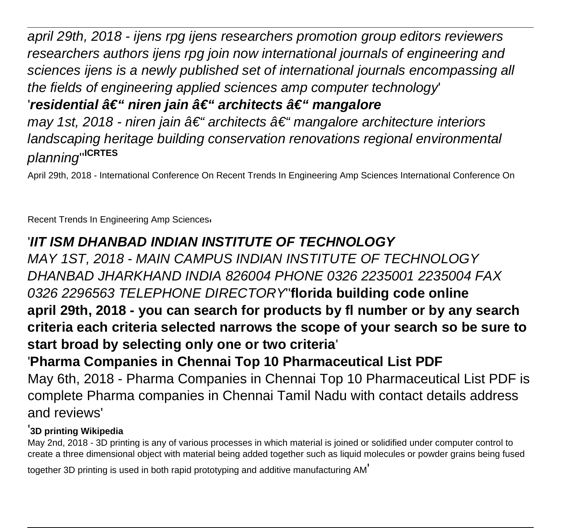april 29th, 2018 - ijens rpg ijens researchers promotion group editors reviewers researchers authors ijens rpg join now international journals of engineering and sciences ijens is a newly published set of international journals encompassing all the fields of engineering applied sciences amp computer technology' 'residential – niren jain – architects – mangalore may 1st, 2018 - niren jain â $\epsilon$ " architects â $\epsilon$ " mangalore architecture interiors landscaping heritage building conservation renovations regional environmental planning''**ICRTES**

April 29th, 2018 - International Conference On Recent Trends In Engineering Amp Sciences International Conference On

Recent Trends In Engineering Amp Sciences'

## '**IIT ISM DHANBAD INDIAN INSTITUTE OF TECHNOLOGY**

MAY 1ST, 2018 - MAIN CAMPUS INDIAN INSTITUTE OF TECHNOLOGY DHANBAD JHARKHAND INDIA 826004 PHONE 0326 2235001 2235004 FAX 0326 2296563 TELEPHONE DIRECTORY''**florida building code online april 29th, 2018 - you can search for products by fl number or by any search criteria each criteria selected narrows the scope of your search so be sure to start broad by selecting only one or two criteria**' '**Pharma Companies in Chennai Top 10 Pharmaceutical List PDF**

May 6th, 2018 - Pharma Companies in Chennai Top 10 Pharmaceutical List PDF is complete Pharma companies in Chennai Tamil Nadu with contact details address and reviews'

#### '**3D printing Wikipedia**

May 2nd, 2018 - 3D printing is any of various processes in which material is joined or solidified under computer control to create a three dimensional object with material being added together such as liquid molecules or powder grains being fused

together 3D printing is used in both rapid prototyping and additive manufacturing AM'